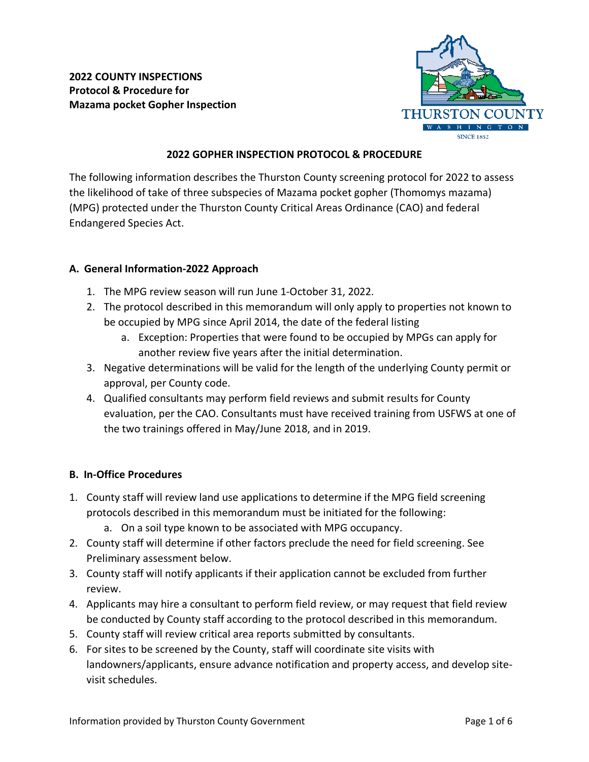

#### **2022 GOPHER INSPECTION PROTOCOL & PROCEDURE**

The following information describes the Thurston County screening protocol for 2022 to assess the likelihood of take of three subspecies of Mazama pocket gopher (Thomomys mazama) (MPG) protected under the Thurston County Critical Areas Ordinance (CAO) and federal Endangered Species Act.

#### **A. General Information-2022 Approach**

- 1. The MPG review season will run June 1-October 31, 2022.
- 2. The protocol described in this memorandum will only apply to properties not known to be occupied by MPG since April 2014, the date of the federal listing
	- a. Exception: Properties that were found to be occupied by MPGs can apply for another review five years after the initial determination.
- 3. Negative determinations will be valid for the length of the underlying County permit or approval, per County code.
- 4. Qualified consultants may perform field reviews and submit results for County evaluation, per the CAO. Consultants must have received training from USFWS at one of the two trainings offered in May/June 2018, and in 2019.

#### **B. In-Office Procedures**

- 1. County staff will review land use applications to determine if the MPG field screening protocols described in this memorandum must be initiated for the following:
	- a. On a soil type known to be associated with MPG occupancy.
- 2. County staff will determine if other factors preclude the need for field screening. See Preliminary assessment below.
- 3. County staff will notify applicants if their application cannot be excluded from further review.
- 4. Applicants may hire a consultant to perform field review, or may request that field review be conducted by County staff according to the protocol described in this memorandum.
- 5. County staff will review critical area reports submitted by consultants.
- 6. For sites to be screened by the County, staff will coordinate site visits with landowners/applicants, ensure advance notification and property access, and develop sitevisit schedules.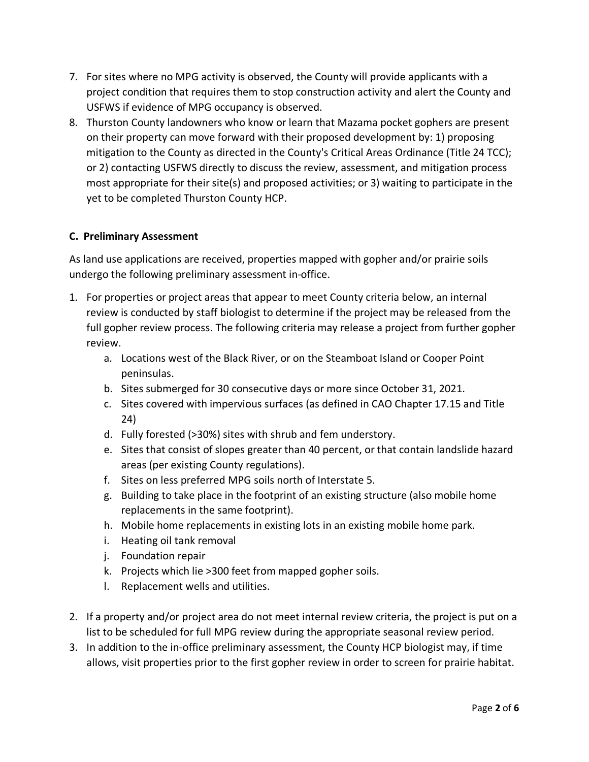- 7. For sites where no MPG activity is observed, the County will provide applicants with a project condition that requires them to stop construction activity and alert the County and USFWS if evidence of MPG occupancy is observed.
- 8. Thurston County landowners who know or learn that Mazama pocket gophers are present on their property can move forward with their proposed development by: 1) proposing mitigation to the County as directed in the County's Critical Areas Ordinance (Title 24 TCC); or 2) contacting USFWS directly to discuss the review, assessment, and mitigation process most appropriate for their site(s) and proposed activities; or 3) waiting to participate in the yet to be completed Thurston County HCP.

#### **C. Preliminary Assessment**

As land use applications are received, properties mapped with gopher and/or prairie soils undergo the following preliminary assessment in-office.

- 1. For properties or project areas that appear to meet County criteria below, an internal review is conducted by staff biologist to determine if the project may be released from the full gopher review process. The following criteria may release a project from further gopher review.
	- a. Locations west of the Black River, or on the Steamboat Island or Cooper Point peninsulas.
	- b. Sites submerged for 30 consecutive days or more since October 31, 2021.
	- c. Sites covered with impervious surfaces (as defined in CAO Chapter 17.15 and Title 24)
	- d. Fully forested (>30%) sites with shrub and fem understory.
	- e. Sites that consist of slopes greater than 40 percent, or that contain landslide hazard areas (per existing County regulations).
	- f. Sites on less preferred MPG soils north of Interstate 5.
	- g. Building to take place in the footprint of an existing structure (also mobile home replacements in the same footprint).
	- h. Mobile home replacements in existing lots in an existing mobile home park.
	- i. Heating oil tank removal
	- j. Foundation repair
	- k. Projects which lie >300 feet from mapped gopher soils.
	- l. Replacement wells and utilities.
- 2. If a property and/or project area do not meet internal review criteria, the project is put on a list to be scheduled for full MPG review during the appropriate seasonal review period.
- 3. In addition to the in-office preliminary assessment, the County HCP biologist may, if time allows, visit properties prior to the first gopher review in order to screen for prairie habitat.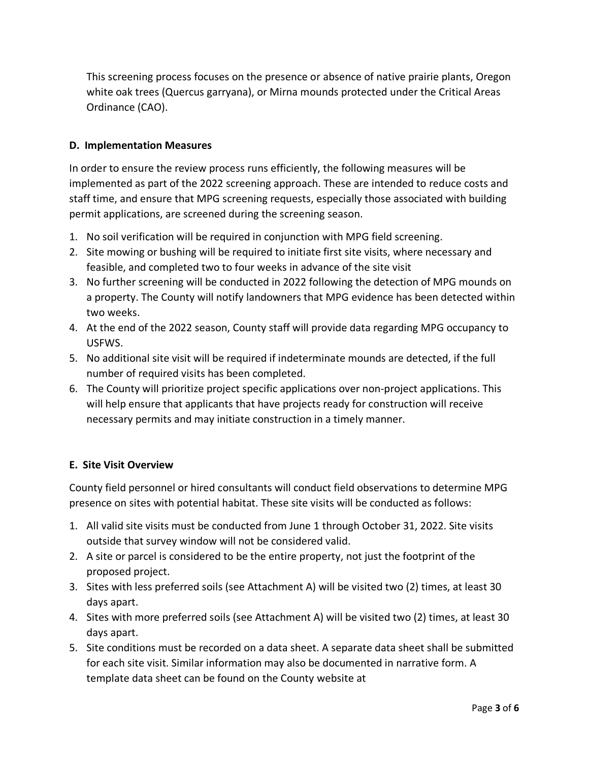This screening process focuses on the presence or absence of native prairie plants, Oregon white oak trees (Quercus garryana), or Mirna mounds protected under the Critical Areas Ordinance (CAO).

## **D. Implementation Measures**

In order to ensure the review process runs efficiently, the following measures will be implemented as part of the 2022 screening approach. These are intended to reduce costs and staff time, and ensure that MPG screening requests, especially those associated with building permit applications, are screened during the screening season.

- 1. No soil verification will be required in conjunction with MPG field screening.
- 2. Site mowing or bushing will be required to initiate first site visits, where necessary and feasible, and completed two to four weeks in advance of the site visit
- 3. No further screening will be conducted in 2022 following the detection of MPG mounds on a property. The County will notify landowners that MPG evidence has been detected within two weeks.
- 4. At the end of the 2022 season, County staff will provide data regarding MPG occupancy to USFWS.
- 5. No additional site visit will be required if indeterminate mounds are detected, if the full number of required visits has been completed.
- 6. The County will prioritize project specific applications over non-project applications. This will help ensure that applicants that have projects ready for construction will receive necessary permits and may initiate construction in a timely manner.

# **E. Site Visit Overview**

County field personnel or hired consultants will conduct field observations to determine MPG presence on sites with potential habitat. These site visits will be conducted as follows:

- 1. All valid site visits must be conducted from June 1 through October 31, 2022. Site visits outside that survey window will not be considered valid.
- 2. A site or parcel is considered to be the entire property, not just the footprint of the proposed project.
- 3. Sites with less preferred soils (see Attachment A) will be visited two (2) times, at least 30 days apart.
- 4. Sites with more preferred soils (see Attachment A) will be visited two (2) times, at least 30 days apart.
- 5. Site conditions must be recorded on a data sheet. A separate data sheet shall be submitted for each site visit. Similar information may also be documented in narrative form. A template data sheet can be found on the County website at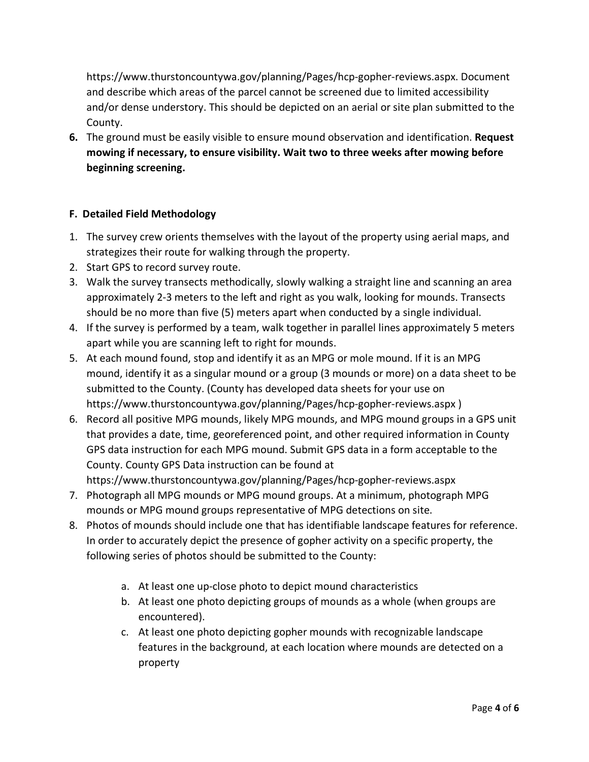https://www.thurstoncountywa.gov/planning/Pages/hcp-gopher-reviews.aspx. Document and describe which areas of the parcel cannot be screened due to limited accessibility and/or dense understory. This should be depicted on an aerial or site plan submitted to the County.

**6.** The ground must be easily visible to ensure mound observation and identification. **Request mowing if necessary, to ensure visibility. Wait two to three weeks after mowing before beginning screening.**

# **F. Detailed Field Methodology**

- 1. The survey crew orients themselves with the layout of the property using aerial maps, and strategizes their route for walking through the property.
- 2. Start GPS to record survey route.
- 3. Walk the survey transects methodically, slowly walking a straight line and scanning an area approximately 2-3 meters to the left and right as you walk, looking for mounds. Transects should be no more than five (5) meters apart when conducted by a single individual.
- 4. If the survey is performed by a team, walk together in parallel lines approximately 5 meters apart while you are scanning left to right for mounds.
- 5. At each mound found, stop and identify it as an MPG or mole mound. If it is an MPG mound, identify it as a singular mound or a group (3 mounds or more) on a data sheet to be submitted to the County. (County has developed data sheets for your use on https://www.thurstoncountywa.gov/planning/Pages/hcp-gopher-reviews.aspx )
- 6. Record all positive MPG mounds, likely MPG mounds, and MPG mound groups in a GPS unit that provides a date, time, georeferenced point, and other required information in County GPS data instruction for each MPG mound. Submit GPS data in a form acceptable to the County. County GPS Data instruction can be found at https://www.thurstoncountywa.gov/planning/Pages/hcp-gopher-reviews.aspx
- 7. Photograph all MPG mounds or MPG mound groups. At a minimum, photograph MPG mounds or MPG mound groups representative of MPG detections on site.
- 8. Photos of mounds should include one that has identifiable landscape features for reference. In order to accurately depict the presence of gopher activity on a specific property, the following series of photos should be submitted to the County:
	- a. At least one up-close photo to depict mound characteristics
	- b. At least one photo depicting groups of mounds as a whole (when groups are encountered).
	- c. At least one photo depicting gopher mounds with recognizable landscape features in the background, at each location where mounds are detected on a property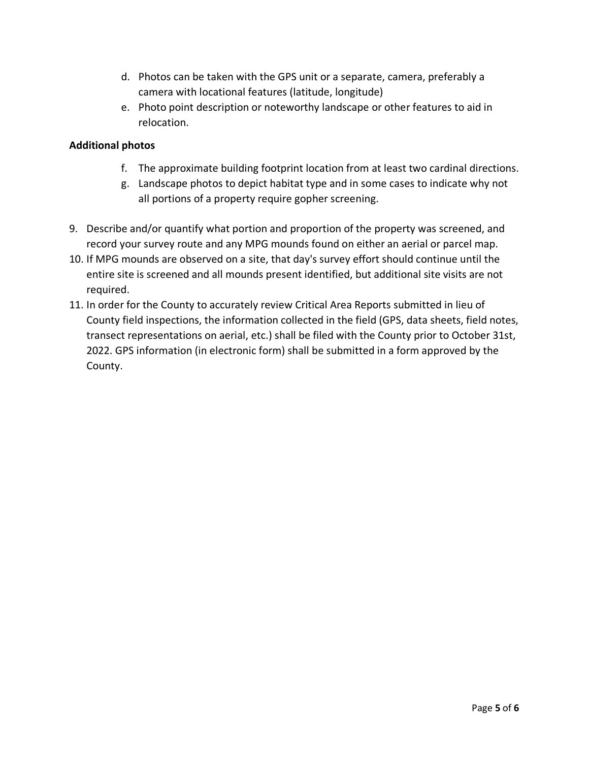- d. Photos can be taken with the GPS unit or a separate, camera, preferably a camera with locational features (latitude, longitude)
- e. Photo point description or noteworthy landscape or other features to aid in relocation.

## **Additional photos**

- f. The approximate building footprint location from at least two cardinal directions.
- g. Landscape photos to depict habitat type and in some cases to indicate why not all portions of a property require gopher screening.
- 9. Describe and/or quantify what portion and proportion of the property was screened, and record your survey route and any MPG mounds found on either an aerial or parcel map.
- 10. If MPG mounds are observed on a site, that day's survey effort should continue until the entire site is screened and all mounds present identified, but additional site visits are not required.
- 11. In order for the County to accurately review Critical Area Reports submitted in lieu of County field inspections, the information collected in the field (GPS, data sheets, field notes, transect representations on aerial, etc.) shall be filed with the County prior to October 31st, 2022. GPS information (in electronic form) shall be submitted in a form approved by the County.